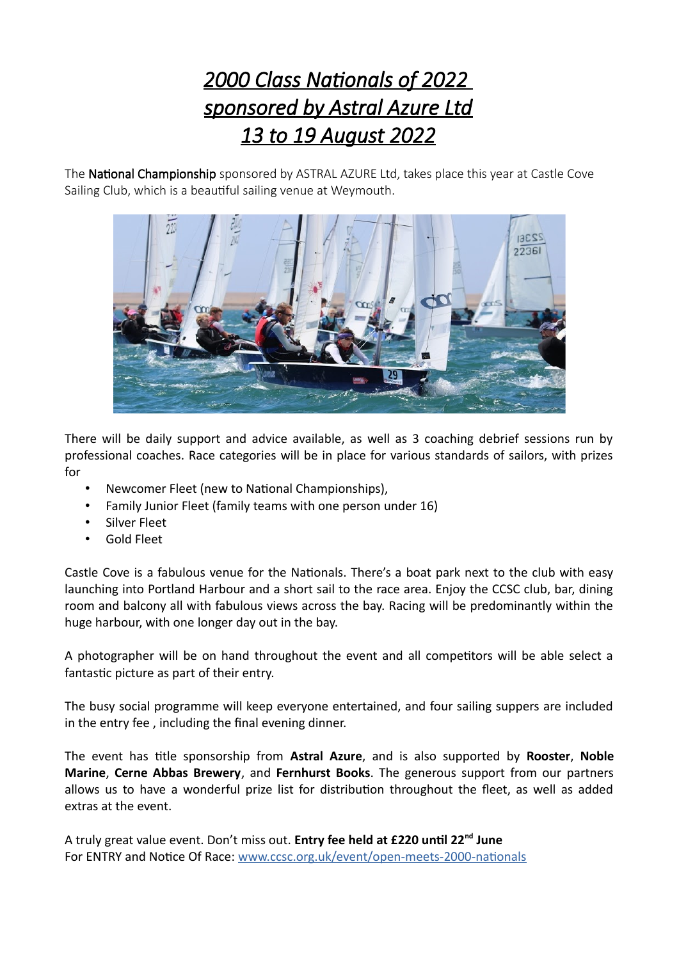## *2000 Class Nationals of 2022 sponsored by Astral Azure Ltd 13 to 19 August 2022*

The National Championship sponsored by ASTRAL AZURE Ltd, takes place this year at Castle Cove Sailing Club, which is a beautiful sailing venue at Weymouth.



There will be daily support and advice available, as well as 3 coaching debrief sessions run by professional coaches. Race categories will be in place for various standards of sailors, with prizes for

- Newcomer Fleet (new to National Championships),
- Family Junior Fleet (family teams with one person under 16)
- Silver Fleet
- Gold Fleet

Castle Cove is a fabulous venue for the Nationals. There's a boat park next to the club with easy launching into Portland Harbour and a short sail to the race area. Enjoy the CCSC club, bar, dining room and balcony all with fabulous views across the bay. Racing will be predominantly within the huge harbour, with one longer day out in the bay.

A photographer will be on hand throughout the event and all competitors will be able select a fantastic picture as part of their entry.

The busy social programme will keep everyone entertained, and four sailing suppers are included in the entry fee , including the final evening dinner.

The event has title sponsorship from **Astral Azure**, and is also supported by **Rooster**, **Noble Marine**, **Cerne Abbas Brewery**, and **Fernhurst Books**. The generous support from our partners allows us to have a wonderful prize list for distribution throughout the fleet, as well as added extras at the event.

A truly great value event. Don't miss out. **Entry fee held at £220 until 22nd June** For ENTRY and Notice Of Race: [www.ccsc.org.uk/event/open-meets-2000-nationals](http://www.ccsc.org.uk/event/open-meets-2000-nationals)